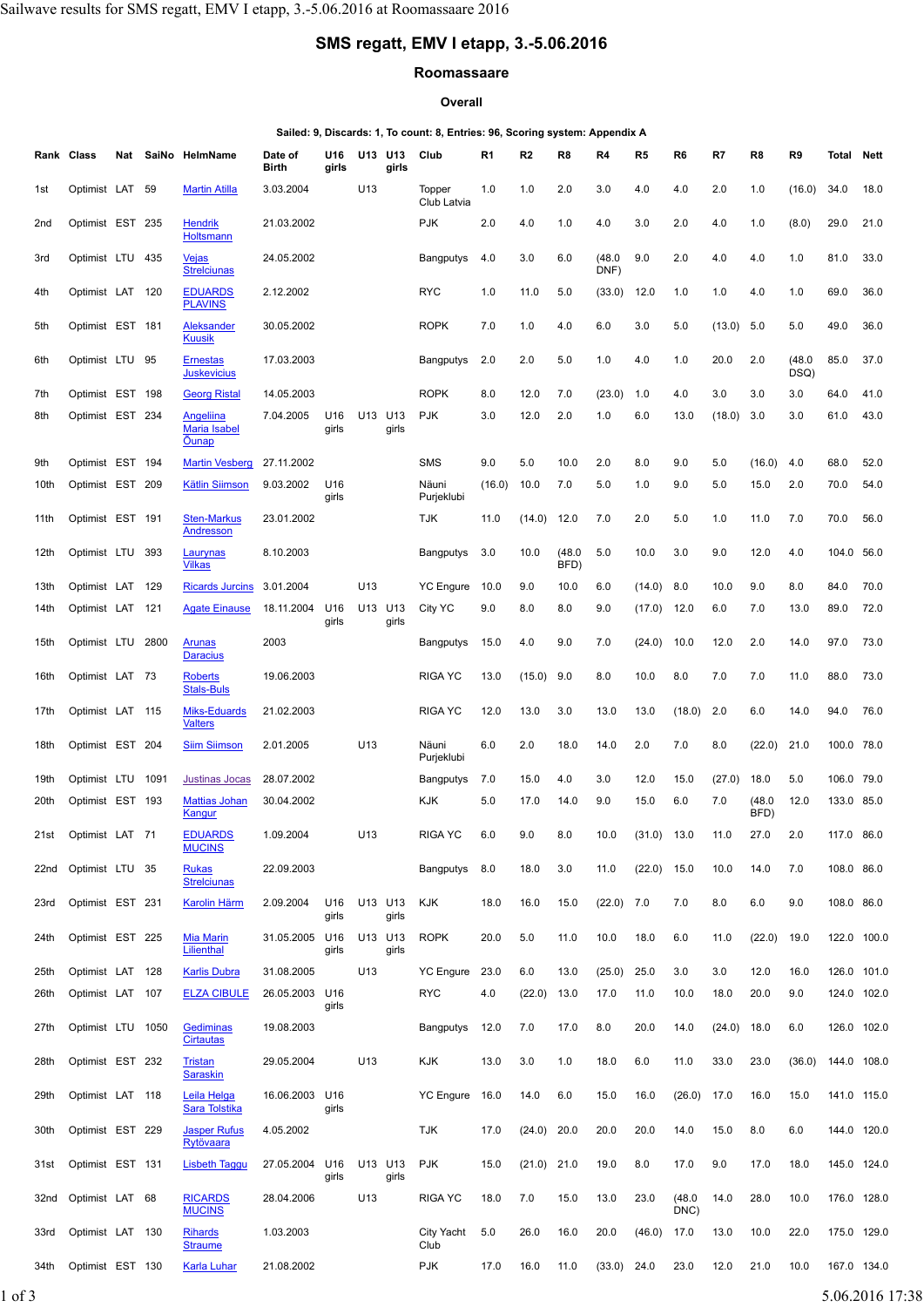# **SMS regatt, EMV I etapp, 3.-5.06.2016**

#### **Roomassaare**

#### **Overall**

### **Sailed: 9, Discards: 1, To count: 8, Entries: 96, Scoring system: Appendix A**

|      | Rank Class        |      | Nat SaiNo HelmName                               | Date of<br>Birth | U16<br>girls | U13 | U13<br>girls     | Club                  | R <sub>1</sub> | R <sub>2</sub> | R8             | R4             | R5     | R <sub>6</sub> | R7     | R8             | R9             | Total       | Nett        |
|------|-------------------|------|--------------------------------------------------|------------------|--------------|-----|------------------|-----------------------|----------------|----------------|----------------|----------------|--------|----------------|--------|----------------|----------------|-------------|-------------|
| 1st  | Optimist LAT      | 59   | <b>Martin Atilla</b>                             | 3.03.2004        |              | U13 |                  | Topper<br>Club Latvia | 1.0            | 1.0            | 2.0            | 3.0            | 4.0    | 4.0            | 2.0    | 1.0            | (16.0)         | 34.0        | 18.0        |
| 2nd  | Optimist EST 235  |      | <b>Hendrik</b><br>Holtsmann                      | 21.03.2002       |              |     |                  | <b>PJK</b>            | 2.0            | 4.0            | 1.0            | 4.0            | 3.0    | 2.0            | 4.0    | 1.0            | (8.0)          | 29.0        | 21.0        |
| 3rd  | Optimist LTU 435  |      | <u>Vejas</u><br><b>Strelciunas</b>               | 24.05.2002       |              |     |                  | <b>Bangputys</b>      | 4.0            | 3.0            | 6.0            | (48.0)<br>DNF) | 9.0    | 2.0            | 4.0    | 4.0            | 1.0            | 81.0        | 33.0        |
| 4th  | Optimist LAT 120  |      | <b>EDUARDS</b><br><b>PLAVINS</b>                 | 2.12.2002        |              |     |                  | <b>RYC</b>            | 1.0            | 11.0           | 5.0            | (33.0)         | 12.0   | 1.0            | 1.0    | 4.0            | 1.0            | 69.0        | 36.0        |
| 5th  | Optimist EST 181  |      | Aleksander<br><b>Kuusik</b>                      | 30.05.2002       |              |     |                  | <b>ROPK</b>           | 7.0            | 1.0            | 4.0            | 6.0            | 3.0    | 5.0            | (13.0) | 5.0            | 5.0            | 49.0        | 36.0        |
| 6th  | Optimist LTU 95   |      | <b>Ernestas</b><br><b>Juskevicius</b>            | 17.03.2003       |              |     |                  | <b>Bangputys</b>      | 2.0            | 2.0            | 5.0            | 1.0            | 4.0    | 1.0            | 20.0   | 2.0            | (48.0)<br>DSQ) | 85.0        | 37.0        |
| 7th  | Optimist EST 198  |      | <b>Georg Ristal</b>                              | 14.05.2003       |              |     |                  | <b>ROPK</b>           | 8.0            | 12.0           | 7.0            | (23.0)         | 1.0    | 4.0            | 3.0    | 3.0            | 3.0            | 64.0        | 41.0        |
| 8th  | Optimist EST 234  |      | Angeliina<br><b>Maria Isabel</b><br><b>Ounap</b> | 7.04.2005        | U16<br>girls | U13 | U13<br>girls     | <b>PJK</b>            | 3.0            | 12.0           | 2.0            | 1.0            | 6.0    | 13.0           | (18.0) | 3.0            | 3.0            | 61.0        | 43.0        |
| 9th  | Optimist EST 194  |      | <b>Martin Vesberg</b>                            | 27.11.2002       |              |     |                  | <b>SMS</b>            | 9.0            | 5.0            | 10.0           | 2.0            | 8.0    | 9.0            | 5.0    | (16.0)         | 4.0            | 68.0        | 52.0        |
| 10th | Optimist EST 209  |      | <b>Kätlin Siimson</b>                            | 9.03.2002        | U16<br>girls |     |                  | Näuni<br>Purjeklubi   | (16.0)         | 10.0           | 7.0            | 5.0            | 1.0    | 9.0            | 5.0    | 15.0           | 2.0            | 70.0        | 54.0        |
| 11th | Optimist EST 191  |      | <b>Sten-Markus</b><br>Andresson                  | 23.01.2002       |              |     |                  | TJK                   | 11.0           | (14.0)         | 12.0           | 7.0            | 2.0    | 5.0            | 1.0    | 11.0           | 7.0            | 70.0        | 56.0        |
| 12th | Optimist LTU      | 393  | Laurynas<br><b>Vilkas</b>                        | 8.10.2003        |              |     |                  | <b>Bangputys</b>      | 3.0            | 10.0           | (48.0)<br>BFD) | 5.0            | 10.0   | 3.0            | 9.0    | 12.0           | 4.0            | 104.0       | 56.0        |
| 13th | Optimist LAT      | 129  | <b>Ricards Jurcins</b>                           | 3.01.2004        |              | U13 |                  | <b>YC Engure</b>      | 10.0           | 9.0            | 10.0           | 6.0            | (14.0) | 8.0            | 10.0   | 9.0            | 8.0            | 84.0        | 70.0        |
| 14th | Optimist LAT 121  |      | <b>Agate Einause</b>                             | 18.11.2004       | U16<br>girls | U13 | U13<br>girls     | City YC               | 9.0            | 8.0            | 8.0            | 9.0            | (17.0) | 12.0           | 6.0    | 7.0            | 13.0           | 89.0        | 72.0        |
| 15th | Optimist LTU      | 2800 | <b>Arunas</b><br><b>Daracius</b>                 | 2003             |              |     |                  | <b>Bangputys</b>      | 15.0           | 4.0            | 9.0            | 7.0            | (24.0) | 10.0           | 12.0   | 2.0            | 14.0           | 97.0        | 73.0        |
| 16th | Optimist LAT 73   |      | <b>Roberts</b><br><b>Stals-Buls</b>              | 19.06.2003       |              |     |                  | <b>RIGA YC</b>        | 13.0           | $(15.0)$ 9.0   |                | 8.0            | 10.0   | 8.0            | 7.0    | 7.0            | 11.0           | 88.0        | 73.0        |
| 17th | Optimist LAT 115  |      | Miks-Eduards<br><b>Valters</b>                   | 21.02.2003       |              |     |                  | <b>RIGA YC</b>        | 12.0           | 13.0           | 3.0            | 13.0           | 13.0   | (18.0)         | 2.0    | 6.0            | 14.0           | 94.0        | 76.0        |
| 18th | Optimist EST 204  |      | <b>Siim Siimson</b>                              | 2.01.2005        |              | U13 |                  | Näuni<br>Purjeklubi   | 6.0            | 2.0            | 18.0           | 14.0           | 2.0    | 7.0            | 8.0    | (22.0)         | 21.0           | 100.0       | 78.0        |
| 19th | Optimist LTU      | 1091 | <b>Justinas Jocas</b>                            | 28.07.2002       |              |     |                  | Bangputys             | 7.0            | 15.0           | 4.0            | 3.0            | 12.0   | 15.0           | (27.0) | 18.0           | 5.0            | 106.0 79.0  |             |
| 20th | Optimist EST 193  |      | <b>Mattias Johan</b><br>Kangur                   | 30.04.2002       |              |     |                  | KJK                   | 5.0            | 17.0           | 14.0           | 9.0            | 15.0   | 6.0            | 7.0    | (48.0)<br>BFD) | 12.0           | 133.0 85.0  |             |
| 21st | Optimist LAT 71   |      | <b>EDUARDS</b><br><b>MUCINS</b>                  | 1.09.2004        |              | U13 |                  | <b>RIGA YC</b>        | 6.0            | 9.0            | 8.0            | 10.0           | (31.0) | 13.0           | 11.0   | 27.0           | 2.0            | 117.0       | 86.0        |
| 22nd | Optimist LTU 35   |      | <b>Rukas</b><br><b>Strelciunas</b>               | 22.09.2003       |              |     |                  | Bangputys             | 8.0            | 18.0           | 3.0            | 11.0           | (22.0) | 15.0           | 10.0   | 14.0           | 7.0            | 108.0 86.0  |             |
| 23rd | Optimist EST 231  |      | <b>Karolin Härm</b>                              | 2.09.2004        | U16<br>girls |     | U13 U13<br>girls | <b>KJK</b>            | 18.0           | 16.0           | 15.0           | $(22.0)$ 7.0   |        | 7.0            | 8.0    | 6.0            | 9.0            | 108.0 86.0  |             |
| 24th | Optimist EST 225  |      | <b>Mia Marin</b><br>Lilienthal                   | 31.05.2005       | U16<br>girls |     | U13 U13<br>girls | <b>ROPK</b>           | 20.0           | 5.0            | 11.0           | 10.0           | 18.0   | 6.0            | 11.0   | (22.0)         | 19.0           |             | 122.0 100.0 |
| 25th | Optimist LAT 128  |      | <b>Karlis Dubra</b>                              | 31.08.2005       |              | U13 |                  | <b>YC Engure</b>      | 23.0           | 6.0            | 13.0           | (25.0)         | 25.0   | 3.0            | 3.0    | 12.0           | 16.0           |             | 126.0 101.0 |
| 26th | Optimist LAT 107  |      | <b>ELZA CIBULE</b>                               | 26.05.2003       | U16<br>girls |     |                  | <b>RYC</b>            | 4.0            | $(22.0)$ 13.0  |                | 17.0           | 11.0   | 10.0           | 18.0   | 20.0           | 9.0            |             | 124.0 102.0 |
| 27th | Optimist LTU 1050 |      | Gediminas<br><b>Cirtautas</b>                    | 19.08.2003       |              |     |                  | Bangputys             | 12.0           | 7.0            | 17.0           | 8.0            | 20.0   | 14.0           | (24.0) | 18.0           | 6.0            |             | 126.0 102.0 |
| 28th | Optimist EST 232  |      | <b>Tristan</b><br><b>Saraskin</b>                | 29.05.2004       |              | U13 |                  | KJK                   | 13.0           | 3.0            | 1.0            | 18.0           | 6.0    | 11.0           | 33.0   | 23.0           | (36.0)         | 144.0 108.0 |             |
| 29th | Optimist LAT 118  |      | Leila Helga<br>Sara Tolstika                     | 16.06.2003 U16   | girls        |     |                  | <b>YC Engure</b>      | 16.0           | 14.0           | 6.0            | 15.0           | 16.0   | (26.0)         | 17.0   | 16.0           | 15.0           |             | 141.0 115.0 |
| 30th | Optimist EST 229  |      | <b>Jasper Rufus</b><br>Rytövaara                 | 4.05.2002        |              |     |                  | TJK                   | 17.0           | (24.0)         | 20.0           | 20.0           | 20.0   | 14.0           | 15.0   | 8.0            | 6.0            |             | 144.0 120.0 |
| 31st | Optimist EST 131  |      | <b>Lisbeth Taggu</b>                             | 27.05.2004       | U16<br>girls |     | U13 U13<br>girls | <b>PJK</b>            | 15.0           | $(21.0)$ 21.0  |                | 19.0           | 8.0    | 17.0           | 9.0    | 17.0           | 18.0           |             | 145.0 124.0 |
| 32nd | Optimist LAT 68   |      | <b>RICARDS</b><br><b>MUCINS</b>                  | 28.04.2006       |              | U13 |                  | <b>RIGA YC</b>        | 18.0           | 7.0            | 15.0           | 13.0           | 23.0   | (48.0)<br>DNC) | 14.0   | 28.0           | 10.0           |             | 176.0 128.0 |
| 33rd | Optimist LAT 130  |      | <b>Rihards</b><br><b>Straume</b>                 | 1.03.2003        |              |     |                  | City Yacht<br>Club    | 5.0            | 26.0           | 16.0           | 20.0           | (46.0) | 17.0           | 13.0   | 10.0           | 22.0           |             | 175.0 129.0 |
| 34th | Optimist EST 130  |      | <b>Karla Luhar</b>                               | 21.08.2002       |              |     |                  | <b>PJK</b>            | 17.0           | 16.0           | 11.0           | $(33.0)$ 24.0  |        | 23.0           | 12.0   | 21.0           | 10.0           |             | 167.0 134.0 |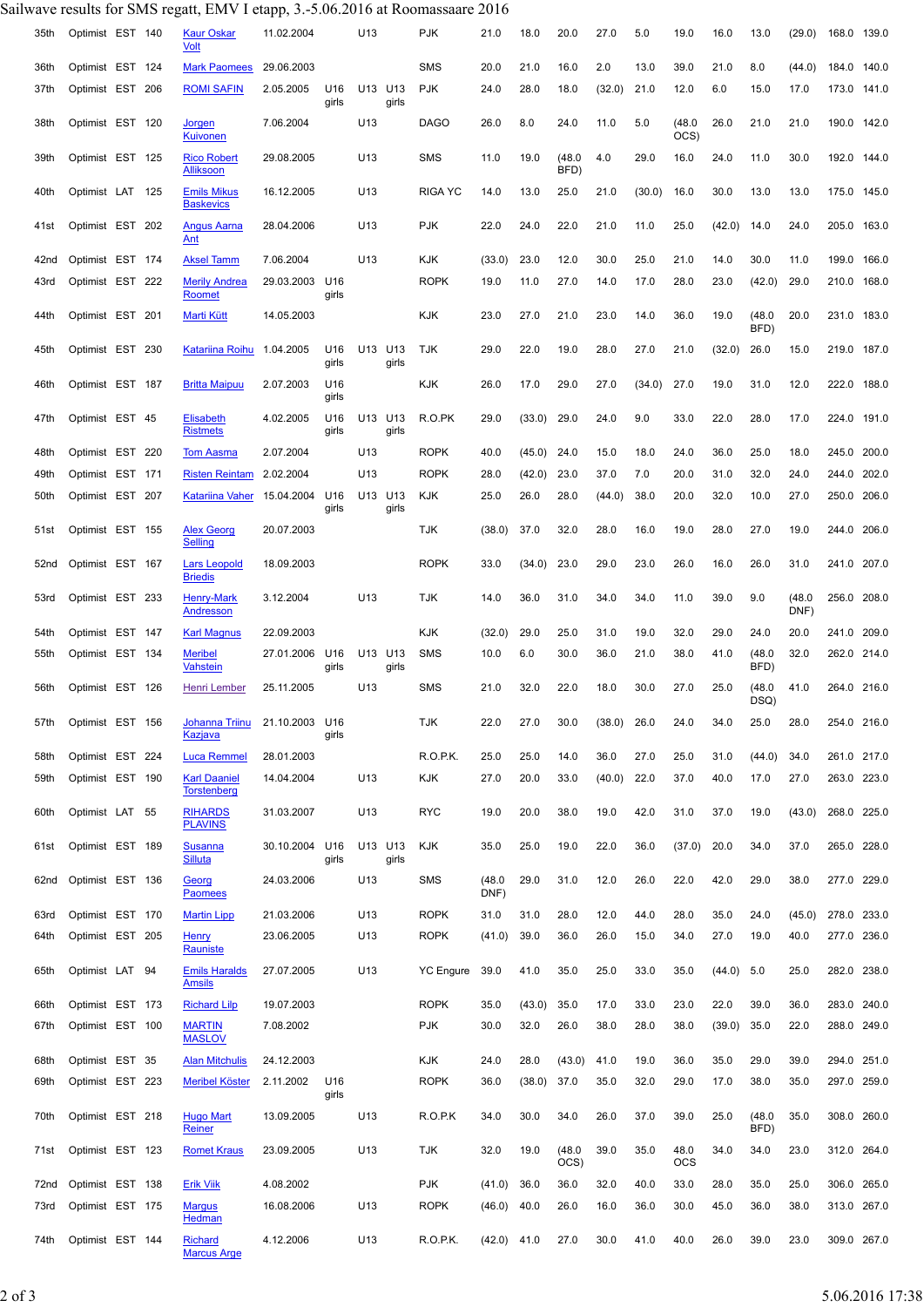## Sailwave results for SMS regatt, EMV I etapp, 3.-5.06.2016 at Roomassaare 2016

| 35th | Optimist EST 140 |  | <b>Kaur Oskar</b><br>Volt                 | 11.02.2004     |              | U13     |              | PJK              | 21.0           | 18.0   | 20.0           | 27.0   | 5.0    | 19.0               | 16.0   | 13.0           | (29.0)         | 168.0 139.0 |       |
|------|------------------|--|-------------------------------------------|----------------|--------------|---------|--------------|------------------|----------------|--------|----------------|--------|--------|--------------------|--------|----------------|----------------|-------------|-------|
| 36th | Optimist EST 124 |  | <b>Mark Paomees</b>                       | 29.06.2003     |              |         |              | <b>SMS</b>       | 20.0           | 21.0   | 16.0           | 2.0    | 13.0   | 39.0               | 21.0   | 8.0            | (44.0)         | 184.0       | 140.0 |
| 37th | Optimist EST 206 |  | <b>ROMI SAFIN</b>                         | 2.05.2005      | U16<br>girls | U13 U13 | girls        | <b>PJK</b>       | 24.0           | 28.0   | 18.0           | (32.0) | 21.0   | 12.0               | 6.0    | 15.0           | 17.0           | 173.0 141.0 |       |
| 38th | Optimist EST 120 |  | Jorgen<br>Kuivonen                        | 7.06.2004      |              | U13     |              | <b>DAGO</b>      | 26.0           | 8.0    | 24.0           | 11.0   | 5.0    | (48.0)<br>OCS)     | 26.0   | 21.0           | 21.0           | 190.0 142.0 |       |
| 39th | Optimist EST 125 |  | <b>Rico Robert</b><br>Alliksoon           | 29.08.2005     |              | U13     |              | <b>SMS</b>       | 11.0           | 19.0   | (48.0)<br>BFD) | 4.0    | 29.0   | 16.0               | 24.0   | 11.0           | 30.0           | 192.0       | 144.0 |
| 40th | Optimist LAT 125 |  | <b>Emils Mikus</b><br><b>Baskevics</b>    | 16.12.2005     |              | U13     |              | <b>RIGA YC</b>   | 14.0           | 13.0   | 25.0           | 21.0   | (30.0) | 16.0               | 30.0   | 13.0           | 13.0           | 175.0 145.0 |       |
| 41st | Optimist EST 202 |  | Angus Aarna<br>Ant                        | 28.04.2006     |              | U13     |              | <b>PJK</b>       | 22.0           | 24.0   | 22.0           | 21.0   | 11.0   | 25.0               | (42.0) | 14.0           | 24.0           | 205.0       | 163.0 |
| 42nd | Optimist EST 174 |  | Aksel Tamm                                | 7.06.2004      |              | U13     |              | KJK              | (33.0)         | 23.0   | 12.0           | 30.0   | 25.0   | 21.0               | 14.0   | 30.0           | 11.0           | 199.0       | 166.0 |
| 43rd | Optimist EST 222 |  | <b>Merily Andrea</b><br>Roomet            | 29.03.2003 U16 | girls        |         |              | <b>ROPK</b>      | 19.0           | 11.0   | 27.0           | 14.0   | 17.0   | 28.0               | 23.0   | (42.0)         | 29.0           | 210.0       | 168.0 |
| 44th | Optimist EST 201 |  | Marti Kütt                                | 14.05.2003     |              |         |              | KJK              | 23.0           | 27.0   | 21.0           | 23.0   | 14.0   | 36.0               | 19.0   | (48.0)<br>BFD) | 20.0           | 231.0       | 183.0 |
| 45th | Optimist EST 230 |  | Katariina Roihu                           | 1.04.2005      | U16<br>girls | U13 U13 | girls        | <b>TJK</b>       | 29.0           | 22.0   | 19.0           | 28.0   | 27.0   | 21.0               | (32.0) | 26.0           | 15.0           | 219.0 187.0 |       |
| 46th | Optimist EST 187 |  | <b>Britta Maipuu</b>                      | 2.07.2003      | U16<br>girls |         |              | KJK              | 26.0           | 17.0   | 29.0           | 27.0   | (34.0) | 27.0               | 19.0   | 31.0           | 12.0           | 222.0       | 188.0 |
| 47th | Optimist EST 45  |  | <b>Elisabeth</b><br><b>Ristmets</b>       | 4.02.2005      | U16<br>girls | U13     | U13<br>girls | R.O.PK           | 29.0           | (33.0) | 29.0           | 24.0   | 9.0    | 33.0               | 22.0   | 28.0           | 17.0           | 224.0       | 191.0 |
| 48th | Optimist EST 220 |  | <b>Tom Aasma</b>                          | 2.07.2004      |              | U13     |              | <b>ROPK</b>      | 40.0           | (45.0) | 24.0           | 15.0   | 18.0   | 24.0               | 36.0   | 25.0           | 18.0           | 245.0 200.0 |       |
| 49th | Optimist EST 171 |  | <b>Risten Reintam</b>                     | 2.02.2004      |              | U13     |              | <b>ROPK</b>      | 28.0           | (42.0) | 23.0           | 37.0   | 7.0    | 20.0               | 31.0   | 32.0           | 24.0           | 244.0 202.0 |       |
| 50th | Optimist EST 207 |  | Katariina Vaher                           | 15.04.2004     | U16<br>girls | U13 U13 | girls        | KJK              | 25.0           | 26.0   | 28.0           | (44.0) | 38.0   | 20.0               | 32.0   | 10.0           | 27.0           | 250.0 206.0 |       |
| 51st | Optimist EST 155 |  | <b>Alex Georg</b><br><b>Selling</b>       | 20.07.2003     |              |         |              | <b>TJK</b>       | (38.0)         | 37.0   | 32.0           | 28.0   | 16.0   | 19.0               | 28.0   | 27.0           | 19.0           | 244.0 206.0 |       |
| 52nd | Optimist EST 167 |  | <b>Lars Leopold</b><br><b>Briedis</b>     | 18.09.2003     |              |         |              | <b>ROPK</b>      | 33.0           | (34.0) | 23.0           | 29.0   | 23.0   | 26.0               | 16.0   | 26.0           | 31.0           | 241.0 207.0 |       |
| 53rd | Optimist EST 233 |  | <b>Henry-Mark</b><br>Andresson            | 3.12.2004      |              | U13     |              | <b>TJK</b>       | 14.0           | 36.0   | 31.0           | 34.0   | 34.0   | 11.0               | 39.0   | 9.0            | (48.0)<br>DNF) | 256.0 208.0 |       |
| 54th | Optimist EST 147 |  | <b>Karl Magnus</b>                        | 22.09.2003     |              |         |              | KJK              | (32.0)         | 29.0   | 25.0           | 31.0   | 19.0   | 32.0               | 29.0   | 24.0           | 20.0           | 241.0 209.0 |       |
| 55th | Optimist EST 134 |  | <b>Meribel</b><br><b>Vahstein</b>         | 27.01.2006 U16 | girls        | U13 U13 | girls        | SMS              | 10.0           | 6.0    | 30.0           | 36.0   | 21.0   | 38.0               | 41.0   | (48.0)<br>BFD) | 32.0           | 262.0 214.0 |       |
| 56th | Optimist EST 126 |  | Henri Lember                              | 25.11.2005     |              | U13     |              | SMS              | 21.0           | 32.0   | 22.0           | 18.0   | 30.0   | 27.0               | 25.0   | (48.0)<br>DSQ) | 41.0           | 264.0 216.0 |       |
| 57th | Optimist EST 156 |  | Johanna Triinu<br>Kazjava                 | 21.10.2003 U16 | girls        |         |              | <b>TJK</b>       | 22.0           | 27.0   | 30.0           | (38.0) | 26.0   | 24.0               | 34.0   | 25.0           | 28.0           | 254.0 216.0 |       |
| 58th | Optimist EST 224 |  | <b>Luca Remmel</b>                        | 28.01.2003     |              |         |              | R.O.P.K.         | 25.0           | 25.0   | 14.0           | 36.0   | 27.0   | 25.0               | 31.0   | (44.0)         | 34.0           | 261.0 217.0 |       |
| 59th | Optimist EST 190 |  | <b>Karl Daaniel</b><br><b>Torstenberg</b> | 14.04.2004     |              | U13     |              | <b>KJK</b>       | 27.0           | 20.0   | 33.0           | (40.0) | 22.0   | 37.0               | 40.0   | 17.0           | 27.0           | 263.0 223.0 |       |
| 60th | Optimist LAT 55  |  | <b>RIHARDS</b><br><b>PLAVINS</b>          | 31.03.2007     |              | U13     |              | RYC              | 19.0           | 20.0   | 38.0           | 19.0   | 42.0   | 31.0               | 37.0   | 19.0           | (43.0)         | 268.0 225.0 |       |
| 61st | Optimist EST 189 |  | <b>Susanna</b><br><b>Silluta</b>          | 30.10.2004 U16 | girls        | U13 U13 | girls        | KJK              | 35.0           | 25.0   | 19.0           | 22.0   | 36.0   | (37.0)             | 20.0   | 34.0           | 37.0           | 265.0 228.0 |       |
| 62nd | Optimist EST 136 |  | Georg<br><b>Paomees</b>                   | 24.03.2006     |              | U13     |              | <b>SMS</b>       | (48.0)<br>DNF) | 29.0   | 31.0           | 12.0   | 26.0   | 22.0               | 42.0   | 29.0           | 38.0           | 277.0 229.0 |       |
| 63rd | Optimist EST 170 |  | <b>Martin Lipp</b>                        | 21.03.2006     |              | U13     |              | <b>ROPK</b>      | 31.0           | 31.0   | 28.0           | 12.0   | 44.0   | 28.0               | 35.0   | 24.0           | (45.0)         | 278.0 233.0 |       |
| 64th | Optimist EST 205 |  | <b>Henry</b><br>Rauniste                  | 23.06.2005     |              | U13     |              | <b>ROPK</b>      | (41.0)         | 39.0   | 36.0           | 26.0   | 15.0   | 34.0               | 27.0   | 19.0           | 40.0           | 277.0 236.0 |       |
| 65th | Optimist LAT 94  |  | <b>Emils Haralds</b><br>Amsils            | 27.07.2005     |              | U13     |              | <b>YC</b> Engure | 39.0           | 41.0   | 35.0           | 25.0   | 33.0   | 35.0               | (44.0) | 5.0            | 25.0           | 282.0 238.0 |       |
| 66th | Optimist EST 173 |  | <b>Richard Lilp</b>                       | 19.07.2003     |              |         |              | <b>ROPK</b>      | 35.0           | (43.0) | 35.0           | 17.0   | 33.0   | 23.0               | 22.0   | 39.0           | 36.0           | 283.0 240.0 |       |
| 67th | Optimist EST 100 |  | <b>MARTIN</b><br><b>MASLOV</b>            | 7.08.2002      |              |         |              | <b>PJK</b>       | 30.0           | 32.0   | 26.0           | 38.0   | 28.0   | 38.0               | (39.0) | 35.0           | 22.0           | 288.0 249.0 |       |
| 68th | Optimist EST 35  |  | <b>Alan Mitchulis</b>                     | 24.12.2003     |              |         |              | <b>KJK</b>       | 24.0           | 28.0   | (43.0)         | 41.0   | 19.0   | 36.0               | 35.0   | 29.0           | 39.0           | 294.0 251.0 |       |
| 69th |                  |  |                                           |                |              |         |              | <b>ROPK</b>      | 36.0           |        |                |        |        |                    |        |                |                |             |       |
|      | Optimist EST 223 |  | <b>Meribel Köster</b>                     | 2.11.2002      | U16<br>girls |         |              |                  |                | (38.0) | 37.0           | 35.0   | 32.0   | 29.0               | 17.0   | 38.0           | 35.0           | 297.0 259.0 |       |
| 70th | Optimist EST 218 |  | <b>Hugo Mart</b><br>Reiner                | 13.09.2005     |              | U13     |              | R.O.P.K          | 34.0           | 30.0   | 34.0           | 26.0   | 37.0   | 39.0               | 25.0   | (48.0)<br>BFD) | 35.0           | 308.0 260.0 |       |
| 71st | Optimist EST 123 |  | <b>Romet Kraus</b>                        | 23.09.2005     |              | U13     |              | <b>TJK</b>       | 32.0           | 19.0   | (48.0)<br>OCS) | 39.0   | 35.0   | 48.0<br><b>OCS</b> | 34.0   | 34.0           | 23.0           | 312.0 264.0 |       |
| 72nd | Optimist EST 138 |  | <b>Erik Viik</b>                          | 4.08.2002      |              |         |              | <b>PJK</b>       | (41.0)         | 36.0   | 36.0           | 32.0   | 40.0   | 33.0               | 28.0   | 35.0           | 25.0           | 306.0 265.0 |       |
| 73rd | Optimist EST 175 |  | <b>Margus</b><br>Hedman                   | 16.08.2006     |              | U13     |              | <b>ROPK</b>      | (46.0)         | 40.0   | 26.0           | 16.0   | 36.0   | 30.0               | 45.0   | 36.0           | 38.0           | 313.0 267.0 |       |
| 74th | Optimist EST 144 |  | <b>Richard</b><br><b>Marcus Arge</b>      | 4.12.2006      |              | U13     |              | R.O.P.K.         | $(42.0)$ 41.0  |        | 27.0           | 30.0   | 41.0   | 40.0               | 26.0   | 39.0           | 23.0           | 309.0 267.0 |       |